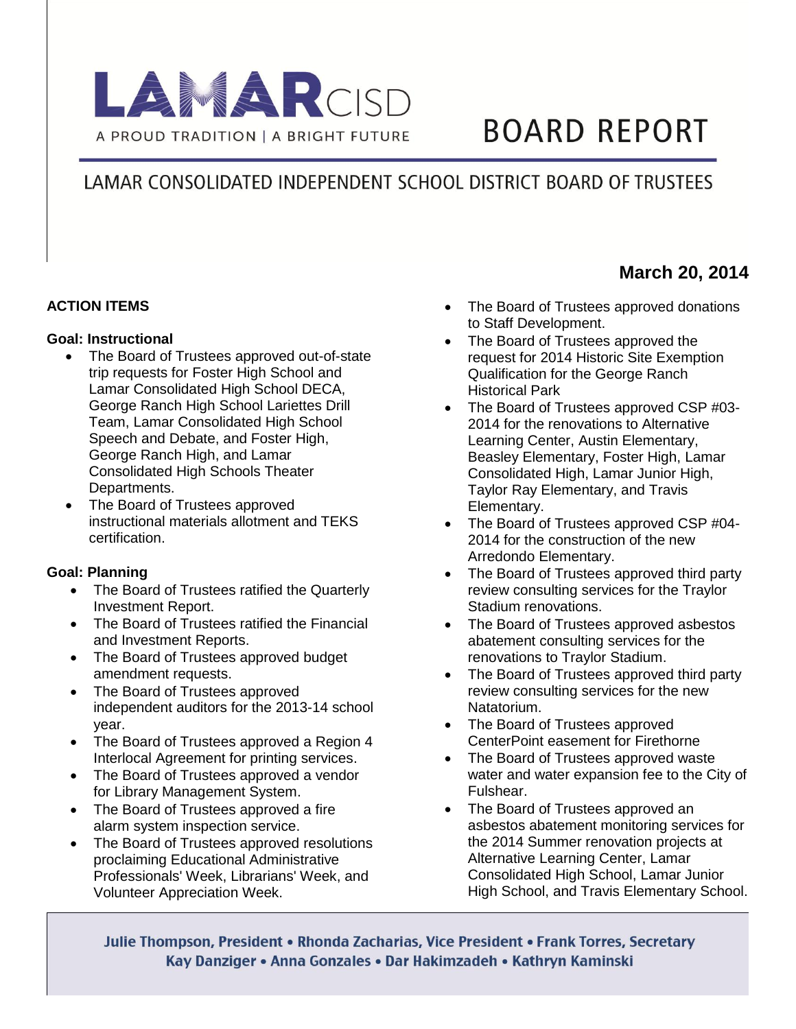

# **BOARD REPORT**

## LAMAR CONSOLIDATED INDEPENDENT SCHOOL DISTRICT BOARD OF TRUSTEES

#### **ACTION ITEMS**

#### **Goal: Instructional**

- The Board of Trustees approved out-of-state trip requests for Foster High School and Lamar Consolidated High School DECA, George Ranch High School Lariettes Drill Team, Lamar Consolidated High School Speech and Debate, and Foster High, George Ranch High, and Lamar Consolidated High Schools Theater Departments.
- The Board of Trustees approved instructional materials allotment and TEKS certification.

#### **Goal: Planning**

- The Board of Trustees ratified the Quarterly Investment Report.
- The Board of Trustees ratified the Financial and Investment Reports.
- The Board of Trustees approved budget amendment requests.
- The Board of Trustees approved independent auditors for the 2013-14 school year.
- The Board of Trustees approved a Region 4 Interlocal Agreement for printing services.
- The Board of Trustees approved a vendor for Library Management System.
- The Board of Trustees approved a fire alarm system inspection service.
- The Board of Trustees approved resolutions proclaiming Educational Administrative Professionals' Week, Librarians' Week, and Volunteer Appreciation Week.
- The Board of Trustees approved donations to Staff Development.
- The Board of Trustees approved the request for 2014 Historic Site Exemption Qualification for the George Ranch Historical Park
- The Board of Trustees approved CSP #03-2014 for the renovations to Alternative Learning Center, Austin Elementary, Beasley Elementary, Foster High, Lamar Consolidated High, Lamar Junior High, Taylor Ray Elementary, and Travis Elementary.
- The Board of Trustees approved CSP #04-2014 for the construction of the new Arredondo Elementary.
- The Board of Trustees approved third party review consulting services for the Traylor Stadium renovations.
- The Board of Trustees approved asbestos abatement consulting services for the renovations to Traylor Stadium.
- The Board of Trustees approved third party review consulting services for the new Natatorium.
- The Board of Trustees approved CenterPoint easement for Firethorne
- The Board of Trustees approved waste water and water expansion fee to the City of Fulshear.
- The Board of Trustees approved an asbestos abatement monitoring services for the 2014 Summer renovation projects at Alternative Learning Center, Lamar Consolidated High School, Lamar Junior High School, and Travis Elementary School.

Julie Thompson, President • Rhonda Zacharias, Vice President • Frank Torres, Secretary Kay Danziger • Anna Gonzales • Dar Hakimzadeh • Kathryn Kaminski

### **March 20, 2014**